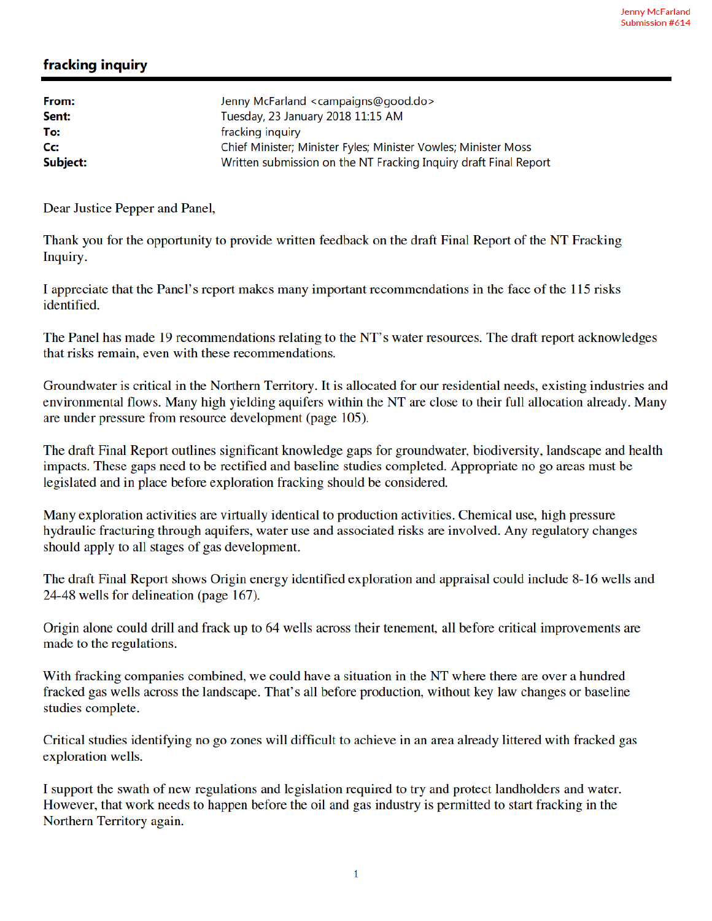## fracking inquiry

| From:    | Jenny McFarland <campaigns@good.do></campaigns@good.do>          |
|----------|------------------------------------------------------------------|
| Sent:    | Tuesday, 23 January 2018 11:15 AM                                |
| To:      | fracking inquiry                                                 |
| Cc:      | Chief Minister; Minister Fyles; Minister Vowles; Minister Moss   |
| Subject: | Written submission on the NT Fracking Inquiry draft Final Report |

Dear Justice Pepper and Panel,

Thank you for the opportunity to provide written feedback on the draft Final Report of the NT Fracking Inquiry.

I appreciate that the Panel's report makes many important recommendations in the face of the 115 risks identified.

The Panel has made 19 recommendations relating to the NT's water resources. The draft report acknowledges that risks remain, even with these recommendations.

Groundwater is critical in the Northern Territory. It is allocated for our residential needs, existing industries and environmental flows. Many high yielding aquifers within the NT are close to their full allocation already. Many are under pressure from resource development (page 105).

The draft Final Report outlines significant knowledge gaps for groundwater, biodiversity, landscape and health impacts. These gaps need to be rectified and baseline studies completed. Appropriate no go areas must be legislated and in place before exploration fracking should be considered.

Many exploration activities are virtually identical to production activities. Chemical use, high pressure hydraulic fracturing through aquifers, water use and associated risks are involved. Any regulatory changes should apply to all stages of gas development.

The draft Final Report shows Origin energy identified exploration and appraisal could include 8-16 wells and 24-48 wells for delineation (page 167).

Origin alone could drill and frack up to 64 wells across their tenement, all before critical improvements are made to the regulations.

With fracking companies combined, we could have a situation in the NT where there are over a hundred fracked gas wells across the landscape. That's all before production, without key law changes or baseline studies complete.

Critical studies identifying no go zones will difficult to achieve in an area already littered with fracked gas exploration wells.

I support the swath of new regulations and legislation required to try and protect landholders and water. However, that work needs to happen before the oil and gas industry is permitted to start fracking in the Northern Territory again.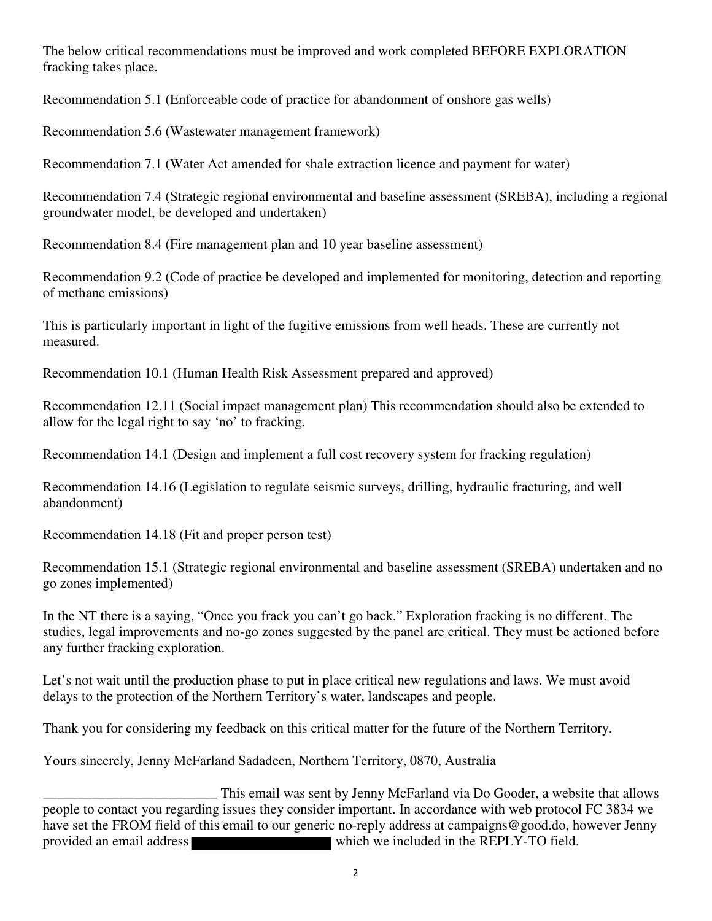The below critical recommendations must be improved and work completed BEFORE EXPLORATION fracking takes place.

Recommendation 5.1 (Enforceable code of practice for abandonment of onshore gas wells)

Recommendation 5.6 (Wastewater management framework)

Recommendation 7.1 (Water Act amended for shale extraction licence and payment for water)

Recommendation 7.4 (Strategic regional environmental and baseline assessment (SREBA), including a regional groundwater model, be developed and undertaken)

Recommendation 8.4 (Fire management plan and 10 year baseline assessment)

Recommendation 9.2 (Code of practice be developed and implemented for monitoring, detection and reporting of methane emissions)

This is particularly important in light of the fugitive emissions from well heads. These are currently not measured.

Recommendation 10.1 (Human Health Risk Assessment prepared and approved)

Recommendation 12.11 (Social impact management plan) This recommendation should also be extended to allow for the legal right to say 'no' to fracking.

Recommendation 14.1 (Design and implement a full cost recovery system for fracking regulation)

Recommendation 14.16 (Legislation to regulate seismic surveys, drilling, hydraulic fracturing, and well abandonment)

Recommendation 14.18 (Fit and proper person test)

Recommendation 15.1 (Strategic regional environmental and baseline assessment (SREBA) undertaken and no go zones implemented)

In the NT there is a saying, "Once you frack you can't go back." Exploration fracking is no different. The studies, legal improvements and no-go zones suggested by the panel are critical. They must be actioned before any further fracking exploration.

Let's not wait until the production phase to put in place critical new regulations and laws. We must avoid delays to the protection of the Northern Territory's water, landscapes and people.

Thank you for considering my feedback on this critical matter for the future of the Northern Territory.

Yours sincerely, Jenny McFarland Sadadeen, Northern Territory, 0870, Australia

This email was sent by Jenny McFarland via Do Gooder, a website that allows<br>people to contact you regarding issues they consider important. In accordance with web protocol FC 3834 we have set the FROM field of this email to our generic no-reply address at campaigns@good.do, however Jenny provided an email address which we included in the REPLY-TO field.